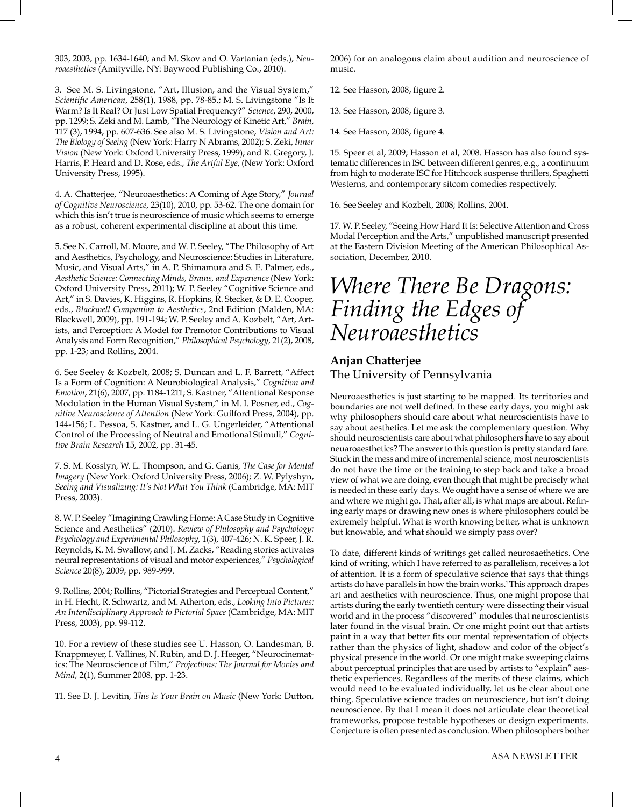303, 2003, pp. 1634-1640; and M. Skov and O. Vartanian (eds.), *Neuroaesthetics* (Amityville, NY: Baywood Publishing Co., 2010).

3. See M. S. Livingstone, "Art, Illusion, and the Visual System," *Scientifc American*, 258(1), 1988, pp. 78-85.; M. S. Livingstone "Is It Warm? Is It Real? Or Just Low Spatial Frequency?" *Science*, 290, 2000, pp. 1299; S. Zeki and M. Lamb, "The Neurology of Kinetic Art," *Brain*, 117 (3), 1994, pp. 607-636. See also M. S. Livingstone, *Vision and Art: The Biology of Seeing* (New York: Harry N Abrams, 2002); S. Zeki, *Inner Vision* (New York: Oxford University Press, 1999); and R. Gregory, J. Harris, P. Heard and D. Rose, eds., *The Artful Eye*, (New York: Oxford University Press, 1995).

4. A. Chatterjee, "Neuroaesthetics: A Coming of Age Story," *Journal of Cognitive Neuroscience*, 23(10), 2010, pp. 53-62. The one domain for which this isn't true is neuroscience of music which seems to emerge as a robust, coherent experimental discipline at about this time.

5. See N. Carroll, M. Moore, and W. P. Seeley, "The Philosophy of Art and Aesthetics, Psychology, and Neuroscience: Studies in Literature, Music, and Visual Arts," in A. P. Shimamura and S. E. Palmer, eds., *Aesthetic Science: Connecting Minds, Brains, and Experience* (New York: Oxford University Press, 2011); W. P. Seeley "Cognitive Science and Art," in S. Davies, K. Higgins, R. Hopkins, R. Stecker, & D. E. Cooper, eds., *Blackwell Companion to Aesthetics*, 2nd Edition (Malden, MA: Blackwell, 2009), pp. 191-194; W. P. Seeley and A. Kozbelt, "Art, Artists, and Perception: A Model for Premotor Contributions to Visual Analysis and Form Recognition," *Philosophical Psychology*, 21(2), 2008, pp. 1-23; and Rollins, 2004.

6. See Seeley & Kozbelt, 2008; S. Duncan and L. F. Barrett, "Affect Is a Form of Cognition: A Neurobiological Analysis," *Cognition and Emotion*, 21(6), 2007, pp. 1184-1211; S. Kastner, "Attentional Response Modulation in the Human Visual System," in M. I. Posner, ed., *Cognitive Neuroscience of Attention* (New York: Guilford Press, 2004), pp. 144-156; L. Pessoa, S. Kastner, and L. G. Ungerleider, "Attentional Control of the Processing of Neutral and Emotional Stimuli," *Cognitive Brain Research* 15, 2002, pp. 31-45.

7. S. M. Kosslyn, W. L. Thompson, and G. Ganis, *The Case for Mental Imagery* (New York: Oxford University Press, 2006); Z. W. Pylyshyn, *Seeing and Visualizing: It's Not What You Think* (Cambridge, MA: MIT Press, 2003).

8. W. P. Seeley "Imagining Crawling Home: A Case Study in Cognitive Science and Aesthetics" (2010). *Review of Philosophy and Psychology: Psychology and Experimental Philosophy*, 1(3), 407-426; N. K. Speer, J. R. Reynolds, K. M. Swallow, and J. M. Zacks, "Reading stories activates neural representations of visual and motor experiences," *Psychological Science* 20(8), 2009, pp. 989-999.

9. Rollins, 2004; Rollins, "Pictorial Strategies and Perceptual Content," in H. Hecht, R. Schwartz, and M. Atherton, eds., *Looking Into Pictures: An Interdisciplinary Approach to Pictorial Space* (Cambridge, MA: MIT Press, 2003), pp. 99-112.

10. For a review of these studies see U. Hasson, O. Landesman, B. Knappmeyer, I. Vallines, N. Rubin, and D. J. Heeger, "Neurocinematics: The Neuroscience of Film," *Projections: The Journal for Movies and Mind*, 2(1), Summer 2008, pp. 1-23.

11. See D. J. Levitin, *This Is Your Brain on Music* (New York: Dutton,

2006) for an analogous claim about audition and neuroscience of music.

- 12. See Hasson, 2008, fgure 2.
- 13. See Hasson, 2008, fgure 3.
- 14. See Hasson, 2008, fgure 4.

15. Speer et al, 2009; Hasson et al, 2008. Hasson has also found systematic differences in ISC between different genres, e.g., a continuum from high to moderate ISC for Hitchcock suspense thrillers, Spaghetti Westerns, and contemporary sitcom comedies respectively.

16. See Seeley and Kozbelt, 2008; Rollins, 2004.

17. W. P. Seeley, "Seeing How Hard It Is: Selective Attention and Cross Modal Perception and the Arts," unpublished manuscript presented at the Eastern Division Meeting of the American Philosophical Association, December, 2010.

## *Where There Be Dragons: Finding the Edges of Neuroaesthetics*

## **Anjan Chatterjee** The University of Pennsylvania

Neuroaesthetics is just starting to be mapped. Its territories and boundaries are not well defned. In these early days, you might ask why philosophers should care about what neuroscientists have to say about aesthetics. Let me ask the complementary question. Why should neuroscientists care about what philosophers have to say about neuaroaesthetics? The answer to this question is pretty standard fare. Stuck in the mess and mire of incremental science, most neuroscientists do not have the time or the training to step back and take a broad view of what we are doing, even though that might be precisely what is needed in these early days. We ought have a sense of where we are and where we might go. That, after all, is what maps are about. Refning early maps or drawing new ones is where philosophers could be extremely helpful. What is worth knowing better, what is unknown but knowable, and what should we simply pass over?

To date, different kinds of writings get called neurosaethetics. One kind of writing, which I have referred to as parallelism, receives a lot of attention. It is a form of speculative science that says that things artists do have parallels in how the brain works.<sup>1</sup> This approach drapes art and aesthetics with neuroscience. Thus, one might propose that artists during the early twentieth century were dissecting their visual world and in the process "discovered" modules that neuroscientists later found in the visual brain. Or one might point out that artists paint in a way that better fits our mental representation of objects rather than the physics of light, shadow and color of the object's physical presence in the world. Or one might make sweeping claims about perceptual principles that are used by artists to "explain" aesthetic experiences. Regardless of the merits of these claims, which would need to be evaluated individually, let us be clear about one thing. Speculative science trades on neuroscience, but isn't doing neuroscience. By that I mean it does not articulate clear theoretical frameworks, propose testable hypotheses or design experiments. Conjecture is often presented as conclusion. When philosophers bother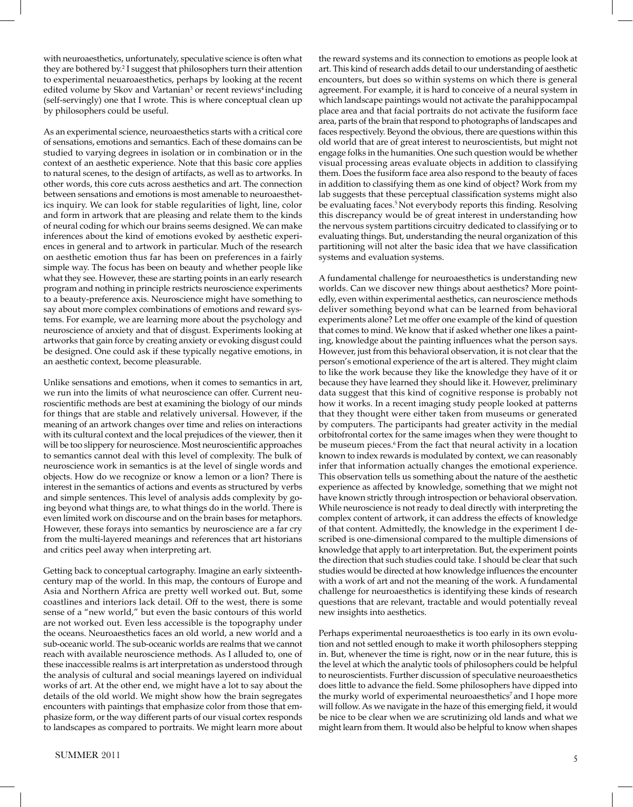with neuroaesthetics, unfortunately, speculative science is often what they are bothered by.2 I suggest that philosophers turn their attention to experimental neuaroaesthetics, perhaps by looking at the recent edited volume by Skov and Vartanian<sup>3</sup> or recent reviews<sup>4</sup> including (self-servingly) one that I wrote. This is where conceptual clean up by philosophers could be useful.

As an experimental science, neuroaesthetics starts with a critical core of sensations, emotions and semantics. Each of these domains can be studied to varying degrees in isolation or in combination or in the context of an aesthetic experience. Note that this basic core applies to natural scenes, to the design of artifacts, as well as to artworks. In other words, this core cuts across aesthetics and art. The connection between sensations and emotions is most amenable to neuroaesthetics inquiry. We can look for stable regularities of light, line, color and form in artwork that are pleasing and relate them to the kinds of neural coding for which our brains seems designed. We can make inferences about the kind of emotions evoked by aesthetic experiences in general and to artwork in particular. Much of the research on aesthetic emotion thus far has been on preferences in a fairly simple way. The focus has been on beauty and whether people like what they see. However, these are starting points in an early research program and nothing in principle restricts neuroscience experiments to a beauty-preference axis. Neuroscience might have something to say about more complex combinations of emotions and reward systems. For example, we are learning more about the psychology and neuroscience of anxiety and that of disgust. Experiments looking at artworks that gain force by creating anxiety or evoking disgust could be designed. One could ask if these typically negative emotions, in an aesthetic context, become pleasurable.

Unlike sensations and emotions, when it comes to semantics in art, we run into the limits of what neuroscience can offer. Current neuroscientifc methods are best at examining the biology of our minds for things that are stable and relatively universal. However, if the meaning of an artwork changes over time and relies on interactions with its cultural context and the local prejudices of the viewer, then it will be too slippery for neuroscience. Most neuroscientific approaches to semantics cannot deal with this level of complexity. The bulk of neuroscience work in semantics is at the level of single words and objects. How do we recognize or know a lemon or a lion? There is interest in the semantics of actions and events as structured by verbs and simple sentences. This level of analysis adds complexity by going beyond what things are, to what things do in the world. There is even limited work on discourse and on the brain bases for metaphors. However, these forays into semantics by neuroscience are a far cry from the multi-layered meanings and references that art historians and critics peel away when interpreting art.

Getting back to conceptual cartography. Imagine an early sixteenthcentury map of the world. In this map, the contours of Europe and Asia and Northern Africa are pretty well worked out. But, some coastlines and interiors lack detail. Off to the west, there is some sense of a "new world," but even the basic contours of this world are not worked out. Even less accessible is the topography under the oceans. Neuroaesthetics faces an old world, a new world and a sub-oceanic world. The sub-oceanic worlds are realms that we cannot reach with available neuroscience methods. As I alluded to, one of these inaccessible realms is art interpretation as understood through the analysis of cultural and social meanings layered on individual works of art. At the other end, we might have a lot to say about the details of the old world. We might show how the brain segregates encounters with paintings that emphasize color from those that emphasize form, or the way different parts of our visual cortex responds to landscapes as compared to portraits. We might learn more about the reward systems and its connection to emotions as people look at art. This kind of research adds detail to our understanding of aesthetic encounters, but does so within systems on which there is general agreement. For example, it is hard to conceive of a neural system in which landscape paintings would not activate the parahippocampal place area and that facial portraits do not activate the fusiform face area, parts of the brain that respond to photographs of landscapes and faces respectively. Beyond the obvious, there are questions within this old world that are of great interest to neuroscientists, but might not engage folks in the humanities. One such question would be whether visual processing areas evaluate objects in addition to classifying them. Does the fusiform face area also respond to the beauty of faces in addition to classifying them as one kind of object? Work from my lab suggests that these perceptual classification systems might also be evaluating faces.<sup>5</sup> Not everybody reports this finding. Resolving this discrepancy would be of great interest in understanding how the nervous system partitions circuitry dedicated to classifying or to evaluating things. But, understanding the neural organization of this partitioning will not alter the basic idea that we have classifcation systems and evaluation systems.

A fundamental challenge for neuroaesthetics is understanding new worlds. Can we discover new things about aesthetics? More pointedly, even within experimental aesthetics, can neuroscience methods deliver something beyond what can be learned from behavioral experiments alone? Let me offer one example of the kind of question that comes to mind. We know that if asked whether one likes a painting, knowledge about the painting infuences what the person says. However, just from this behavioral observation, it is not clear that the person's emotional experience of the art is altered. They might claim to like the work because they like the knowledge they have of it or because they have learned they should like it. However, preliminary data suggest that this kind of cognitive response is probably not how it works. In a recent imaging study people looked at patterns that they thought were either taken from museums or generated by computers. The participants had greater activity in the medial orbitofrontal cortex for the same images when they were thought to be museum pieces.<sup>6</sup> From the fact that neural activity in a location known to index rewards is modulated by context, we can reasonably infer that information actually changes the emotional experience. This observation tells us something about the nature of the aesthetic experience as affected by knowledge, something that we might not have known strictly through introspection or behavioral observation. While neuroscience is not ready to deal directly with interpreting the complex content of artwork, it can address the effects of knowledge of that content. Admittedly, the knowledge in the experiment I described is one-dimensional compared to the multiple dimensions of knowledge that apply to art interpretation. But, the experiment points the direction that such studies could take. I should be clear that such studies would be directed at how knowledge infuences the encounter with a work of art and not the meaning of the work. A fundamental challenge for neuroaesthetics is identifying these kinds of research questions that are relevant, tractable and would potentially reveal new insights into aesthetics.

Perhaps experimental neuroaesthetics is too early in its own evolution and not settled enough to make it worth philosophers stepping in. But, whenever the time is right, now or in the near future, this is the level at which the analytic tools of philosophers could be helpful to neuroscientists. Further discussion of speculative neuroaesthetics does little to advance the field. Some philosophers have dipped into the murky world of experimental neuroaesthetics<sup>7</sup> and I hope more will follow. As we navigate in the haze of this emerging field, it would be nice to be clear when we are scrutinizing old lands and what we might learn from them. It would also be helpful to know when shapes